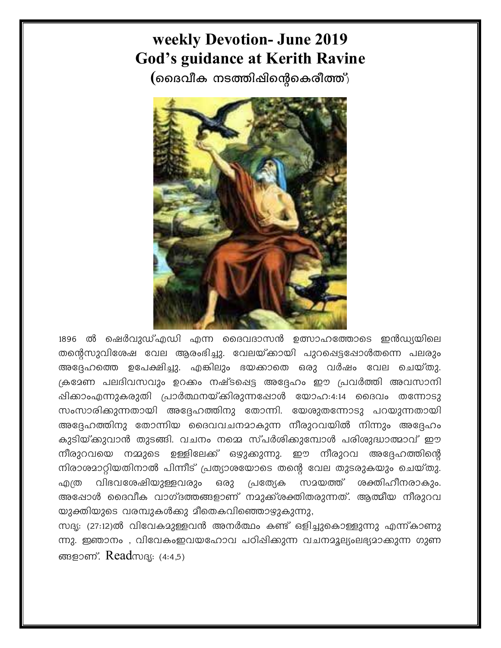## weekly Devotion- June 2019 **God's guidance at Kerith Ravine**

(മൈവീക നടത്തിഷിന്റെകെരീത്ത്)



1896 ൽ ഷെർവുഡ്എഡി എന്ന ദൈവദാസൻ ഉത്സാഹത്തോടെ ഇൻഡ്യയിലെ തന്റെസുവിശേഷ വേല ആരംഭിച്ചു. വേലയ്ക്കായി പുറപ്പെട്ടപ്പോൾതന്നെ പലരും അദ്ദേഹത്തെ ഉപേക്ഷിച്ചു. എങ്കിലും ഭയക്കാതെ ഒരു വർഷം വേല ചെയ്തു. ക്രമേണ പലദിവസവും ഉറക്കം നഷ്ടപ്പെട്ട അദ്ദേഹം ഈ പ്രവർത്തി അവസാനി ഷിക്കാംഎന്നുകരുതി പ്രാർത്ഥനയ്ക്കിരുന്നപ്പോൾ യോഹ:4:14 ദൈവം തന്നോടു സംസാരിക്കുന്നതായി അദ്ദേഹത്തിനു തോന്നി. യേശുതന്നോടു പറയുന്നതായി അദ്ദേഹത്തിനു തോന്നിയ ദൈവവചനമാകുന്ന നീരുറവയിൽ നിന്നും അദ്ദേഹം കുടിയ്ക്കുവാൻ തുടങ്ങി. വചനം നമ്മെ സ്പർശിക്കുമ്പോൾ പരിശുദ്ധാത്മാവ് ഈ നീരുറവയെ നമ്മുടെ ഉള്ളിലേക്ക് ഒഴുക്കുന്നു. ഈ നീരുറവ അദ്ദേഹത്തിന്റെ നിരാശമാറ്റിയതിനാൽ പിന്നീട് പ്രത്യാശയോടെ തന്റെ വേല തുടരുകയും ചെയ്തു. എത്ര വിഭവശേഷിയുള്ളവരും ഒരു പ്രത്യേക സമയത്ത് ശക്തിഹീനരാകും. അഷോൾ ദൈവീക വാഗ്ദത്തങ്ങളാണ് നമുക്ക്രക്തിതരുന്നത്. ആത്മീയ നീരുറവ യുക്തിയുടെ വരമ്പുകൾക്കു മീതെകവിഞ്ഞൊഴ്ചുകുന്നു,

സദൃ: (27:12)ൽ വിവേകമുള്ളവൻ അനർത്ഥം കണ്ട് ഒളിച്ചുകൊള്ളുന്നു എന്ന്കാണു ന്നു. ഇഞാനം , വിവേകംഇവയഹോവ പഠിഷിക്കുന്ന വചനമൂല്യംലഭ്യമാക്കുന്ന ഗുണ ങ്ങളാണ്. Read സദ്യ: (4:4.5)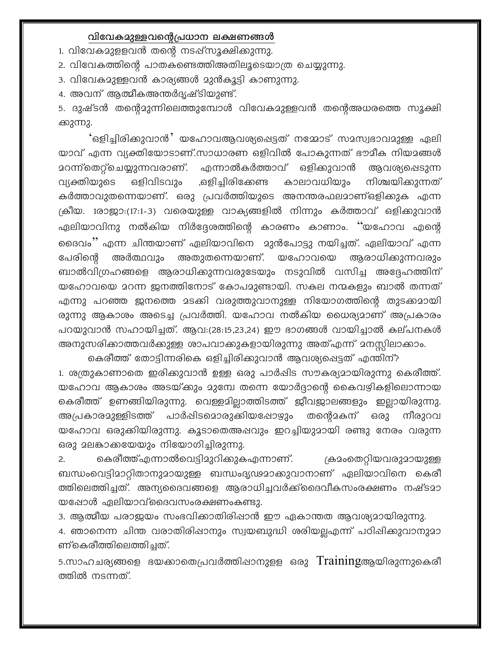## വിവേകമുള്ളവന്റെപ്രധാന ലക്ഷണങ്ങൾ

1. വിവേകമുളളവൻ തന്റെ നടപ്പ്സൂക്ഷിക്കുന്നു.

2. വിവേകത്തിന്റെ പാതകണ്ടെത്തിഅതിലൂടെയാത്ര ചെയ്യുന്നു.

3. വിവേകമുള്ളവൻ കാര്യങ്ങൾ മുൻകൂട്ടി കാണുന്നു.

4. അവന് ആത്മീകഅന്തർദൃഷ്ടിയുണ്ട്.

5. ദുഷ്ടൻ തന്റെമുന്നിലെത്തുമ്പോൾ വിവേകമുള്ളവൻ തന്റെഅധരത്തെ സൂക്ഷി ക്കുന്നു.

'ഒളിച്ചിരിക്കുവാൻ' യഹോവആവശ്യപ്പെട്ടത് നമ്മോട് സമസ്വഭാവമുള്ള ഏലി യാവ് എന്ന വ്യക്തിയോടാണ്.സാധാരണ ഒളിവിൽ പോകുന്നത് ഭൗമീക നിയമങ്ങൾ മറന്ന്തെറ്റ്ചെയ്യുന്നവരാണ്. എന്നാൽകർത്താവ് ഒളിക്കുവാൻ ആവശ്യപ്പെടുന്ന വ്യക്തിയുടെ ,ഒളിച്ചിരിക്കേണ്ട ഒളിവിടവും കാലാവധിയും നിശ്ചയിക്കുന്നത് കർത്താവുതന്നെയാണ്. ഒരു പ്രവർത്തിയുടെ അനന്തരഫലമാണ്ഒളിക്കുക എന്ന ക്രീയ. 1രാജാ:(17:1-3) വരെയുള്ള വാക്യങ്ങളിൽ നിന്നും കർത്താവ് ഒളിക്കുവാൻ ഏലിയാവിനു നൽകിയ നിർദ്ദേശത്തിന്റെ കാരണം കാണാം. ''യഹോവ എന്റെ ദൈവം'' എന്ന ചിന്തയാണ് ഏലിയാവിനെ മുൻപോട്ടു നയിച്ചത്. ഏലിയാവ് എന്ന അർത്ഥവും അതുതന്നെയാണ്. യഹോവയെ പേരിന്റെ അരാധിക്കുന്നവരും ബാൽവിഗ്രഹങ്ങളെ ആരാധിക്കുന്നവരുടേയും നടുവിൽ വസിച്ച അദ്ദേഹത്തിന് യഹോവയെ മറന്ന ജനത്തിനോട് കോപമുണ്ടായി. സകല നന്മകളും ബാൽ തന്നത് എന്നു പറഞ്ഞ ജനത്തെ മടക്കി വരുത്തുവാനുള്ള നിയോഗത്തിന്റെ തുടക്കമായി രുന്നു ആകാശം അടെച്ച പ്രവർത്തി. യഹോവ നൽകിയ ധൈര്യമാണ് അപ്രകാരം പറയുവാൻ സഹായിച്ചത്. ആവ:(28:15,23,24) ഈ ഭാഗങ്ങൾ വായിച്ചാൽ കല്പനകൾ അനുസരിക്കാത്തവർക്കുള്ള ശാപവാക്കുകളായിരുന്നു അത്എന്ന് മനസ്സിലാക്കാം.

കെരീത്ത് തോട്ടിന്നരികെ ഒളിച്ചിരിക്കുവാൻ ആവശ്യപ്പെട്ടത് എന്തിന്? 1. ശത്രുകാണാതെ ഇരിക്കുവാൻ ഉള്ള ഒരു പാർഷിട സൗകര്യമായിരുന്നു കെരീത്ത്. യഹോവ ആകാശം അടയ്ക്കും മുമ്പേ തന്നെ യോർദ്ദാന്റെ കൈവഴികളിലൊന്നായ കെരീത്ത് ഉണങ്ങിയിരുന്നു. വെള്ളമില്ലാത്തിടത്ത് ജീവജാലങ്ങളും ഇല്ലായിരുന്നു. അപ്രകാരമുള്ളിടത്ത് പാർഷിടമൊരുക്കിയപ്പോഴും തന്റെമകന് ഒരു നീരുറവ യഹോവ ഒരുക്കിയിരുന്നു. കൂടാതെഅഷവും ഇറച്ചിയുമായി രണ്ടു നേരം വരുന്ന ഒരു മലങ്കാക്കയേയും നിയോഗിച്ചിരുന്നു.

കെരീത്ത്എന്നാൽവെട്ടിമുറിക്കുകഎന്നാണ്. ക്രമംതെറ്റിയവരുമായുള്ള  $2.$ ബന്ധംവെട്ടിമാറ്റിതാനുമായുള്ള ബന്ധംദൃഢമാകുവാനാണ് ഏലിയാവിനെ കെരീ ത്തിലെത്തിച്ചത്. അന്യദൈവങ്ങളെ ആരാധിച്ചവർക്ക്ദൈവീകസംരക്ഷണം നഷ്ടമാ യപ്പോൾ ഏലിയാവ്ദൈവസംരക്ഷണംകണ്ടു.

3. ആത്മീയ പരാജയം സംഭവിക്കാതിരിഷാൻ ഈ ഏകാന്തത ആവശ്യമായിരുന്നു.

4. ഞാനെന്ന ചിന്ത വരാതിരിഷാനും സ്വയബുദ്ധി ശരിയല്ലഎന്ന് പഠിഷിക്കുവാനുമാ ണ്കെരീത്തിലെത്തിച്ചത്.

5.സാഹചര്യങ്ങളെ ഭയക്കാതെപ്രവർത്തിഷാനുളള ഒരു Trainingആയിരുന്നുകെരീ ത്തിൽ നടന്നത്.